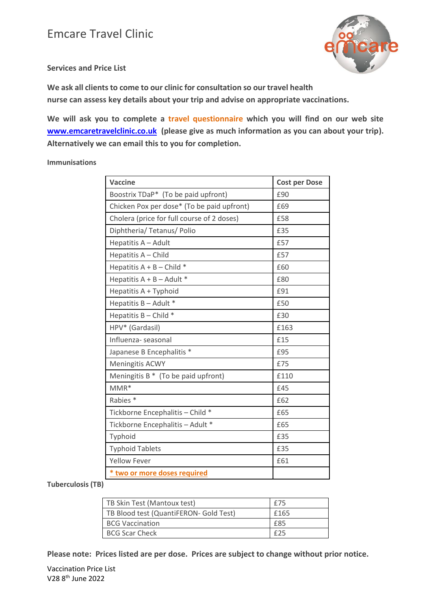

**Services and Price List**

**We ask all clients to come to our clinic for consultation so our travel health nurse can assess key details about your trip and advise on appropriate vaccinations.** 

**We will ask you to complete a travel questionnaire which you will find on our web site [www.emcaretravelclinic.co.uk](http://www.emcaretravelclinic.co.uk/) (please give as much information as you can about your trip). Alternatively we can email this to you for completion.**

**Immunisations**

| Vaccine                                    | <b>Cost per Dose</b> |
|--------------------------------------------|----------------------|
| Boostrix TDaP* (To be paid upfront)        | £90                  |
| Chicken Pox per dose* (To be paid upfront) | £69                  |
| Cholera (price for full course of 2 doses) | £58                  |
| Diphtheria/ Tetanus/ Polio                 | £35                  |
| Hepatitis A - Adult                        | £57                  |
| Hepatitis A - Child                        | £57                  |
| Hepatitis $A + B -$ Child *                | £60                  |
| Hepatitis $A + B -$ Adult *                | £80                  |
| Hepatitis A + Typhoid                      | £91                  |
| Hepatitis B - Adult *                      | £50                  |
| Hepatitis $B -$ Child $*$                  | £30                  |
| HPV* (Gardasil)                            | £163                 |
| Influenza-seasonal                         | £15                  |
| Japanese B Encephalitis *                  | £95                  |
| Meningitis ACWY                            | £75                  |
| Meningitis $B^*$ (To be paid upfront)      | £110                 |
| $MMR*$                                     | £45                  |
| Rabies <sup>*</sup>                        | £62                  |
| Tickborne Encephalitis - Child *           | £65                  |
| Tickborne Encephalitis - Adult *           | £65                  |
| Typhoid                                    | £35                  |
| <b>Typhoid Tablets</b>                     | £35                  |
| <b>Yellow Fever</b>                        | £61                  |
| * two or more doses required               |                      |

**Tuberculosis (TB)**

| TB Skin Test (Mantoux test)            | £75  |
|----------------------------------------|------|
| TB Blood test (QuantiFERON- Gold Test) | £165 |
| <b>BCG Vaccination</b>                 | £85  |
| <b>BCG Scar Check</b>                  | f25  |

**Please note: Prices listed are per dose. Prices are subject to change without prior notice.**